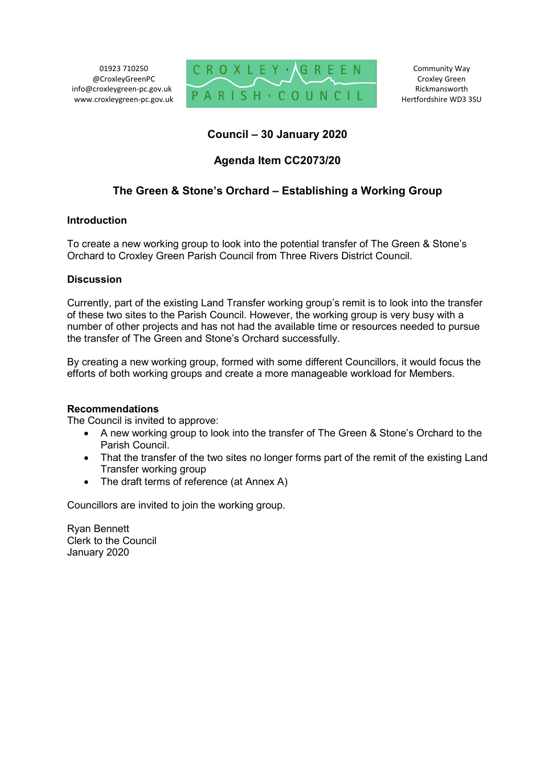01923 710250 @CroxleyGreenPC info@croxleygreen-pc.gov.uk www.croxleygreen-pc.gov.uk



# **Council – 30 January 2020**

# **Agenda Item CC2073/20**

# **The Green & Stone's Orchard – Establishing a Working Group**

## **Introduction**

To create a new working group to look into the potential transfer of The Green & Stone's Orchard to Croxley Green Parish Council from Three Rivers District Council.

## **Discussion**

Currently, part of the existing Land Transfer working group's remit is to look into the transfer of these two sites to the Parish Council. However, the working group is very busy with a number of other projects and has not had the available time or resources needed to pursue the transfer of The Green and Stone's Orchard successfully.

By creating a new working group, formed with some different Councillors, it would focus the efforts of both working groups and create a more manageable workload for Members.

### **Recommendations**

The Council is invited to approve:

- A new working group to look into the transfer of The Green & Stone's Orchard to the Parish Council.
- That the transfer of the two sites no longer forms part of the remit of the existing Land Transfer working group
- The draft terms of reference (at Annex A)

Councillors are invited to join the working group.

Ryan Bennett Clerk to the Council January 2020